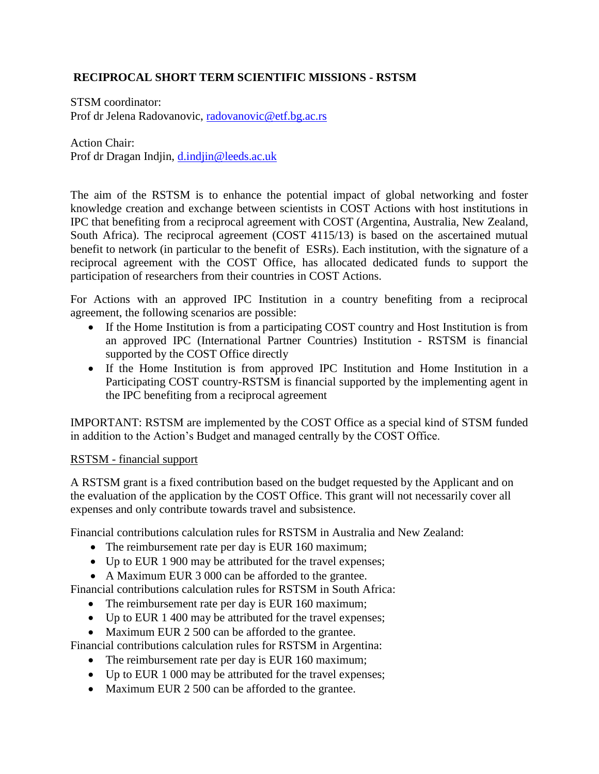# **RECIPROCAL SHORT TERM SCIENTIFIC MISSIONS - RSTSM**

STSM coordinator: Prof dr Jelena Radovanovic, [radovanovic@etf.bg.ac.rs](mailto:radovanovic@etf.bg.ac.rs)

Action Chair: Prof dr Dragan Indjin, [d.indjin@leeds.ac.uk](mailto:d.indjin@leeds.ac.uk)

The aim of the RSTSM is to enhance the potential impact of global networking and foster knowledge creation and exchange between scientists in COST Actions with host institutions in IPC that benefiting from a reciprocal agreement with COST (Argentina, Australia, New Zealand, South Africa). The reciprocal agreement (COST 4115/13) is based on the ascertained mutual benefit to network (in particular to the benefit of ESRs). Each institution, with the signature of a reciprocal agreement with the COST Office, has allocated dedicated funds to support the participation of researchers from their countries in COST Actions.

For Actions with an approved IPC Institution in a country benefiting from a reciprocal agreement, the following scenarios are possible:

- If the Home Institution is from a participating COST country and Host Institution is from an approved IPC (International Partner Countries) Institution - RSTSM is financial supported by the COST Office directly
- If the Home Institution is from approved IPC Institution and Home Institution in a Participating COST country-RSTSM is financial supported by the implementing agent in the IPC benefiting from a reciprocal agreement

IMPORTANT: RSTSM are implemented by the COST Office as a special kind of STSM funded in addition to the Action's Budget and managed centrally by the COST Office.

#### RSTSM - financial support

A RSTSM grant is a fixed contribution based on the budget requested by the Applicant and on the evaluation of the application by the COST Office. This grant will not necessarily cover all expenses and only contribute towards travel and subsistence.

Financial contributions calculation rules for RSTSM in Australia and New Zealand:

- The reimbursement rate per day is EUR 160 maximum;
- Up to EUR 1 900 may be attributed for the travel expenses;
- A Maximum EUR 3 000 can be afforded to the grantee.

Financial contributions calculation rules for RSTSM in South Africa:

- The reimbursement rate per day is EUR 160 maximum;
- Up to EUR 1 400 may be attributed for the travel expenses;
- Maximum EUR 2 500 can be afforded to the grantee.

Financial contributions calculation rules for RSTSM in Argentina:

- The reimbursement rate per day is EUR 160 maximum;
- Up to EUR 1 000 may be attributed for the travel expenses;
- Maximum EUR 2 500 can be afforded to the grantee.